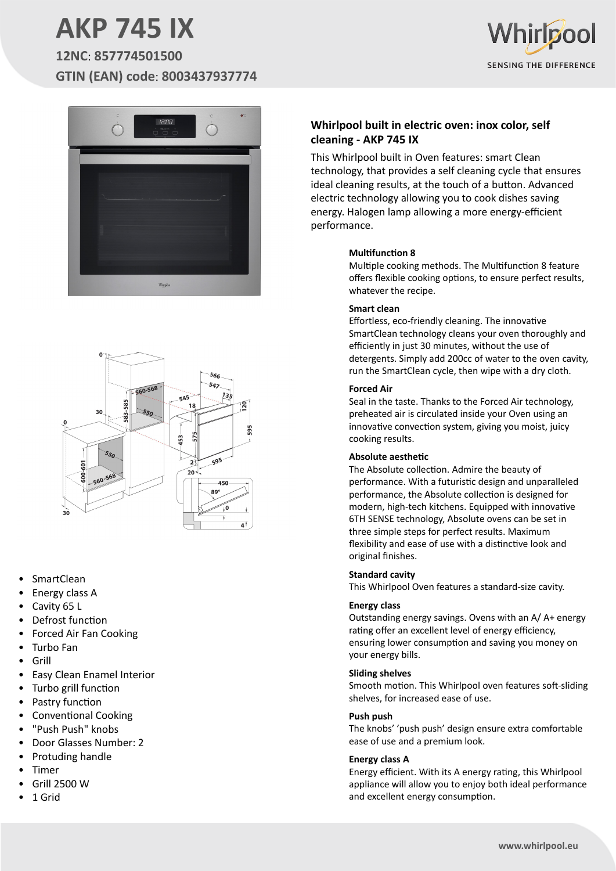# **AKP 745 IX**

**12NC**: **857774501500 GTIN (EAN) code**: **8003437937774**







- **SmartClean**
- Energy class A
- Cavity 65 L
- Defrost function
- Forced Air Fan Cooking
- Turbo Fan
- Grill
- Easy Clean Enamel Interior
- Turbo grill function
- Pastry function
- Conventional Cooking
- "Push Push" knobs
- Door Glasses Number: 2
- Protuding handle
- **Timer**
- Grill 2500 W
- 1 Grid

### **Whirlpool built in electric oven: inox color, self cleaning - AKP 745 IX**

This Whirlpool built in Oven features: smart Clean technology, that provides a self cleaning cycle that ensures ideal cleaning results, at the touch of a button. Advanced electric technology allowing you to cook dishes saving energy. Halogen lamp allowing a more energy-efficient performance.

#### **Multifunction 8**

Multiple cooking methods. The Multifunction 8 feature offers flexible cooking options, to ensure perfect results, whatever the recipe.

#### **Smart clean**

Effortless, eco-friendly cleaning. The innovative SmartClean technology cleans your oven thoroughly and efficiently in just 30 minutes, without the use of detergents. Simply add 200cc of water to the oven cavity, run the SmartClean cycle, then wipe with a dry cloth.

#### **Forced Air**

Seal in the taste. Thanks to the Forced Air technology, preheated air is circulated inside your Oven using an innovative convection system, giving you moist, juicy cooking results.

#### **Absolute aesthetic**

The Absolute collection. Admire the beauty of performance. With a futuristic design and unparalleled performance, the Absolute collection is designed for modern, high-tech kitchens. Equipped with innovative 6TH SENSE technology, Absolute ovens can be set in three simple steps for perfect results. Maximum flexibility and ease of use with a distinctive look and original finishes.

#### **Standard cavity**

This Whirlpool Oven features a standard-size cavity.

#### **Energy class**

Outstanding energy savings. Ovens with an A/ A+ energy rating offer an excellent level of energy efficiency, ensuring lower consumption and saving you money on your energy bills.

#### **Sliding shelves**

Smooth motion. This Whirlpool oven features soft-sliding shelves, for increased ease of use.

#### **Push push**

The knobs' 'push push' design ensure extra comfortable ease of use and a premium look.

#### **Energy class A**

Energy efficient. With its A energy rating, this Whirlpool appliance will allow you to enjoy both ideal performance and excellent energy consumption.